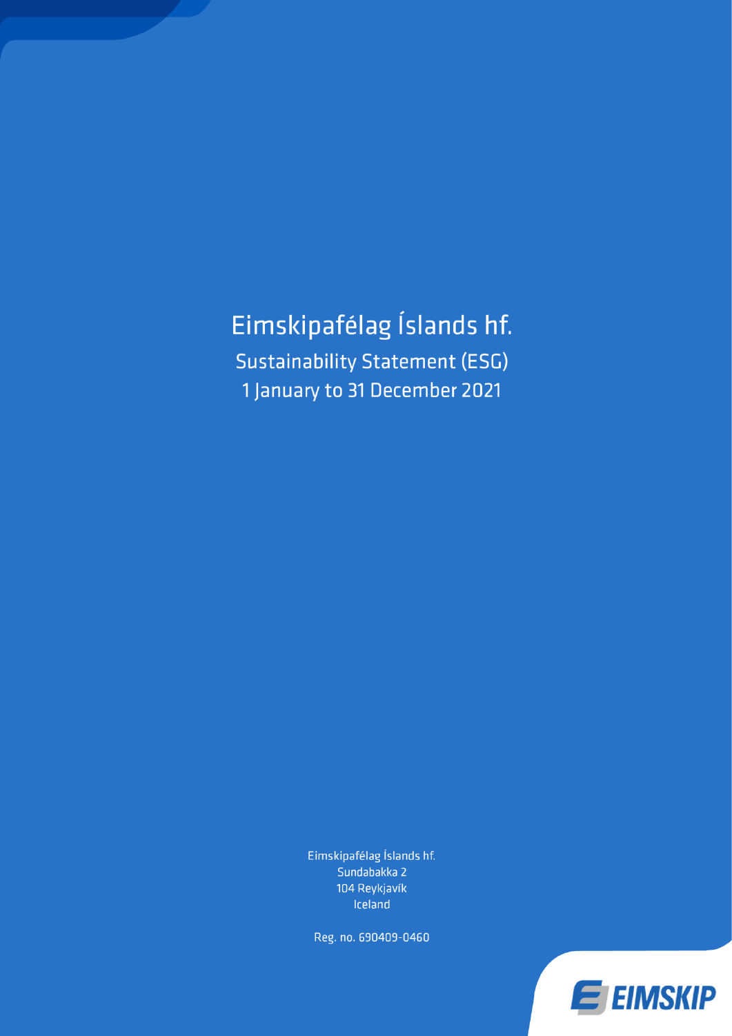Eimskipafélag Íslands hf. **Sustainability Statement (ESG)** 1 January to 31 December 2021

> Eimskipafélag Íslands hf. Sundabakka 2 104 Reykjavík Iceland

Reg. no. 690409-0460

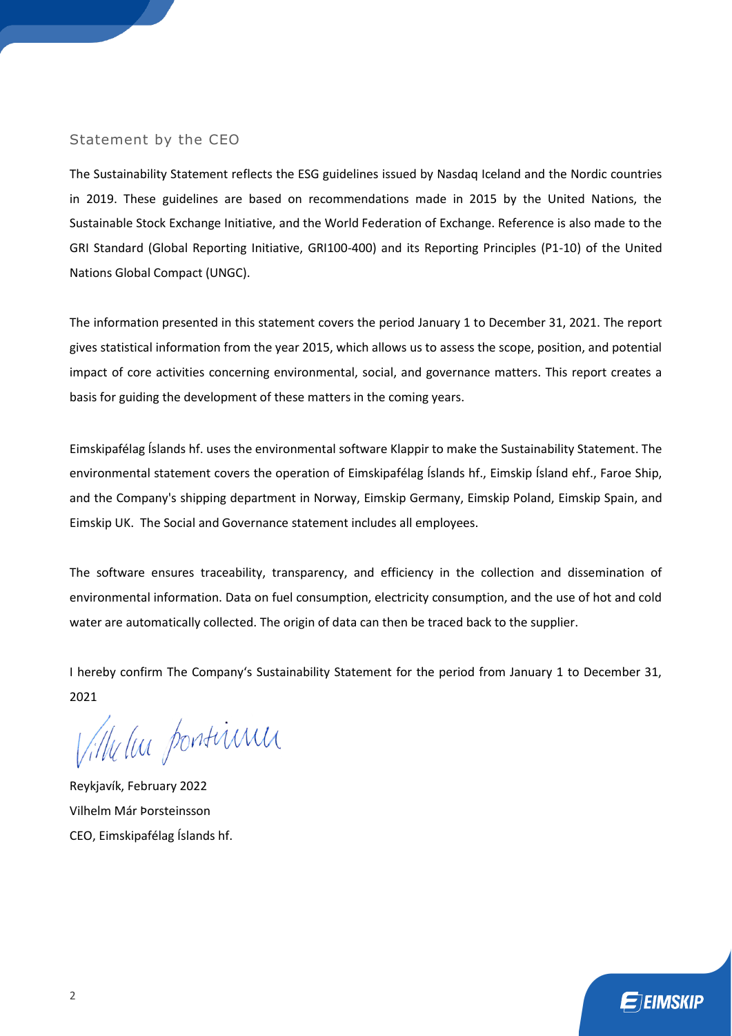### Statement by the CEO

The Sustainability Statement reflects the ESG guidelines issued by Nasdaq Iceland and the Nordic countries in 2019. These guidelines are based on recommendations made in 2015 by the United Nations, the Sustainable Stock Exchange Initiative, and the World Federation of Exchange. Reference is also made to the GRI Standard (Global Reporting Initiative, GRI100-400) and its Reporting Principles (P1-10) of the United Nations Global Compact (UNGC).

The information presented in this statement covers the period January 1 to December 31, 2021. The report gives statistical information from the year 2015, which allows us to assess the scope, position, and potential impact of core activities concerning environmental, social, and governance matters. This report creates a basis for guiding the development of these matters in the coming years.

Eimskipafélag Íslands hf. uses the environmental software Klappir to make the Sustainability Statement. The environmental statement covers the operation of Eimskipafélag Íslands hf., Eimskip Ísland ehf., Faroe Ship, and the Company's shipping department in Norway, Eimskip Germany, Eimskip Poland, Eimskip Spain, and Eimskip UK. The Social and Governance statement includes all employees.

The software ensures traceability, transparency, and efficiency in the collection and dissemination of environmental information. Data on fuel consumption, electricity consumption, and the use of hot and cold water are automatically collected. The origin of data can then be traced back to the supplier.

I hereby confirm The Company's Sustainability Statement for the period from January 1 to December 31, 2021

Ville lui pontiinn

Reykjavík, February 2022 Vilhelm Már Þorsteinsson CEO, Eimskipafélag Íslands hf.

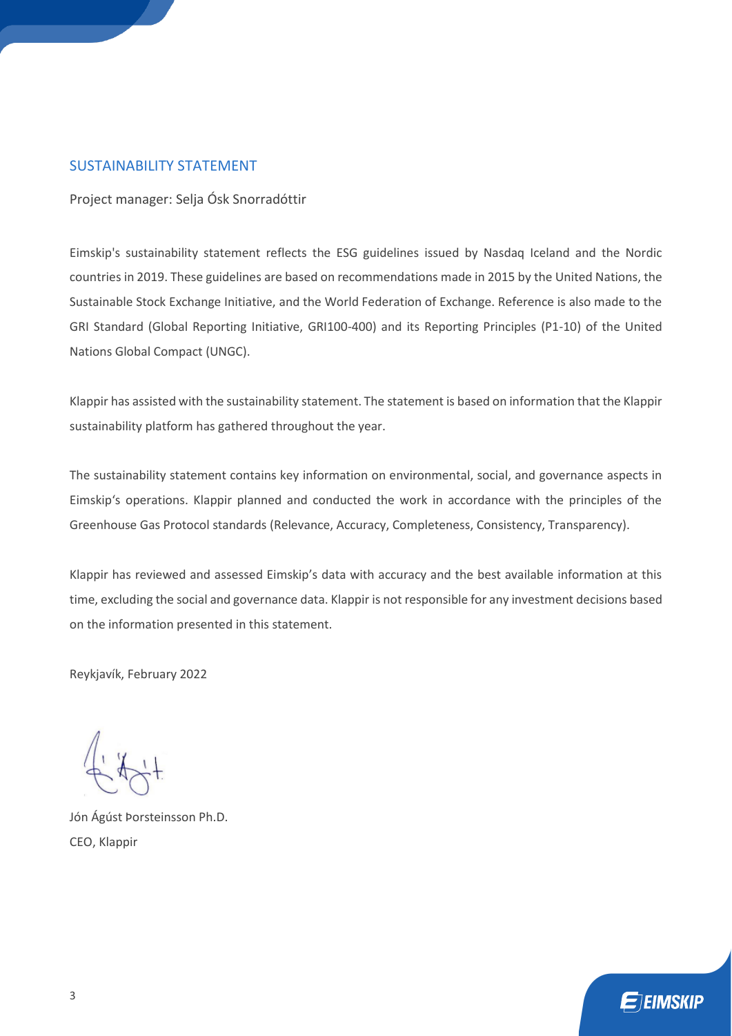# SUSTAINABILITY STATEMENT

Project manager: Selja Ósk Snorradóttir

Eimskip's sustainability statement reflects the ESG guidelines issued by Nasdaq Iceland and the Nordic countries in 2019. These guidelines are based on recommendations made in 2015 by the United Nations, the Sustainable Stock Exchange Initiative, and the World Federation of Exchange. Reference is also made to the GRI Standard (Global Reporting Initiative, GRI100-400) and its Reporting Principles (P1-10) of the United Nations Global Compact (UNGC).

Klappir has assisted with the sustainability statement. The statement is based on information that the Klappir sustainability platform has gathered throughout the year.

The sustainability statement contains key information on environmental, social, and governance aspects in Eimskip's operations. Klappir planned and conducted the work in accordance with the principles of the Greenhouse Gas Protocol standards (Relevance, Accuracy, Completeness, Consistency, Transparency).

Klappir has reviewed and assessed Eimskip's data with accuracy and the best available information at this time, excluding the social and governance data. Klappir is not responsible for any investment decisions based on the information presented in this statement.

Reykjavík, February 2022

Jón Ágúst Þorsteinsson Ph.D. CEO, Klappir

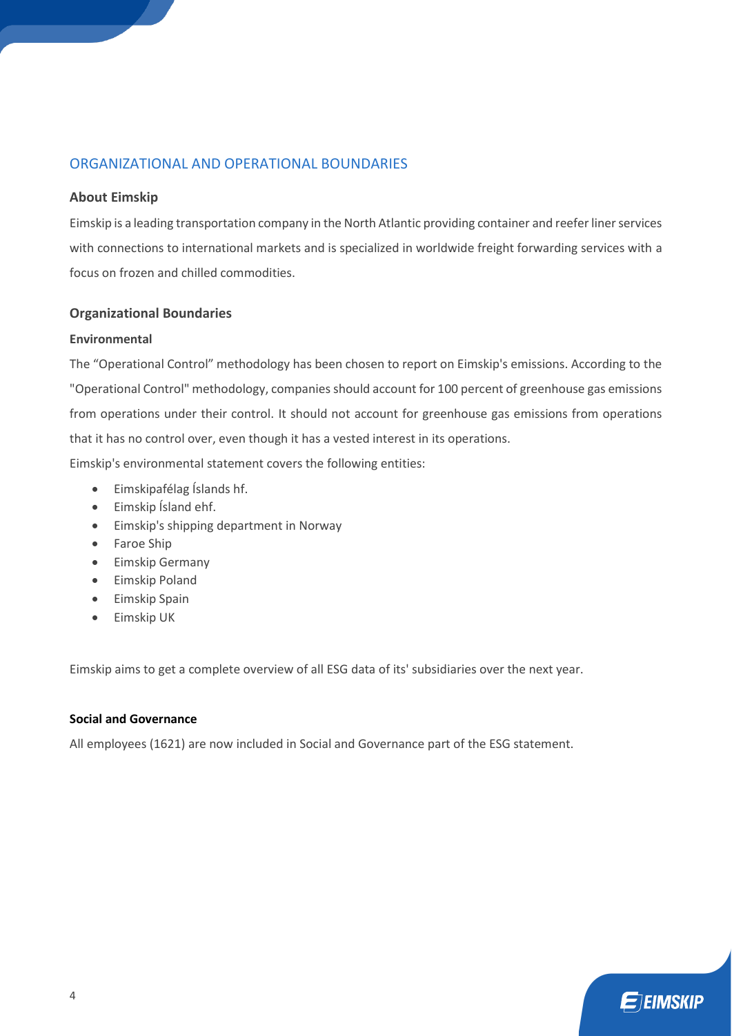# ORGANIZATIONAL AND OPERATIONAL BOUNDARIES

### **About Eimskip**

Eimskip is a leading transportation company in the North Atlantic providing container and reefer liner services with connections to international markets and is specialized in worldwide freight forwarding services with a focus on frozen and chilled commodities.

### **Organizational Boundaries**

### **Environmental**

The "Operational Control" methodology has been chosen to report on Eimskip's emissions. According to the "Operational Control" methodology, companies should account for 100 percent of greenhouse gas emissions from operations under their control. It should not account for greenhouse gas emissions from operations that it has no control over, even though it has a vested interest in its operations.

Eimskip's environmental statement covers the following entities:

- Eimskipafélag Íslands hf.
- Eimskip Ísland ehf.
- Eimskip's shipping department in Norway
- Faroe Ship
- Eimskip Germany
- Eimskip Poland
- Eimskip Spain
- Eimskip UK

Eimskip aims to get a complete overview of all ESG data of its' subsidiaries over the next year.

### **Social and Governance**

All employees (1621) are now included in Social and Governance part of the ESG statement.

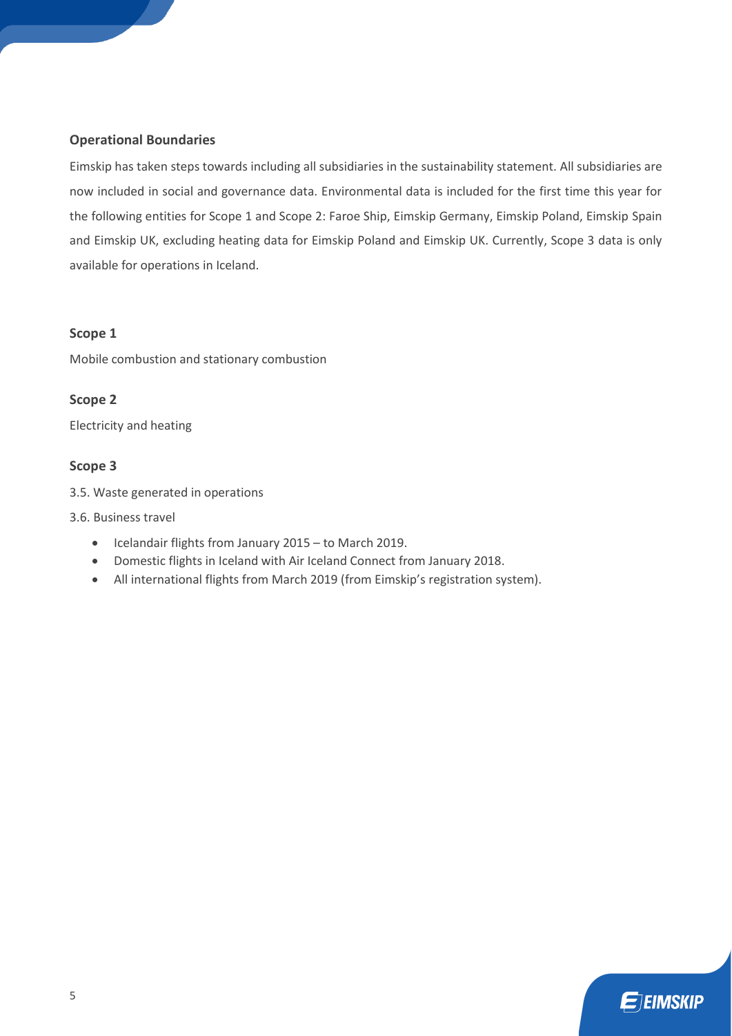### **Operational Boundaries**

Eimskip has taken steps towards including all subsidiaries in the sustainability statement. All subsidiaries are now included in social and governance data. Environmental data is included for the first time this year for the following entities for Scope 1 and Scope 2: Faroe Ship, Eimskip Germany, Eimskip Poland, Eimskip Spain and Eimskip UK, excluding heating data for Eimskip Poland and Eimskip UK. Currently, Scope 3 data is only available for operations in Iceland.

### **Scope 1**

Mobile combustion and stationary combustion

# **Scope 2**

Electricity and heating

# **Scope 3**

- 3.5. Waste generated in operations
- 3.6. Business travel
	- Icelandair flights from January 2015 to March 2019.
	- Domestic flights in Iceland with Air Iceland Connect from January 2018.
	- All international flights from March 2019 (from Eimskip's registration system).

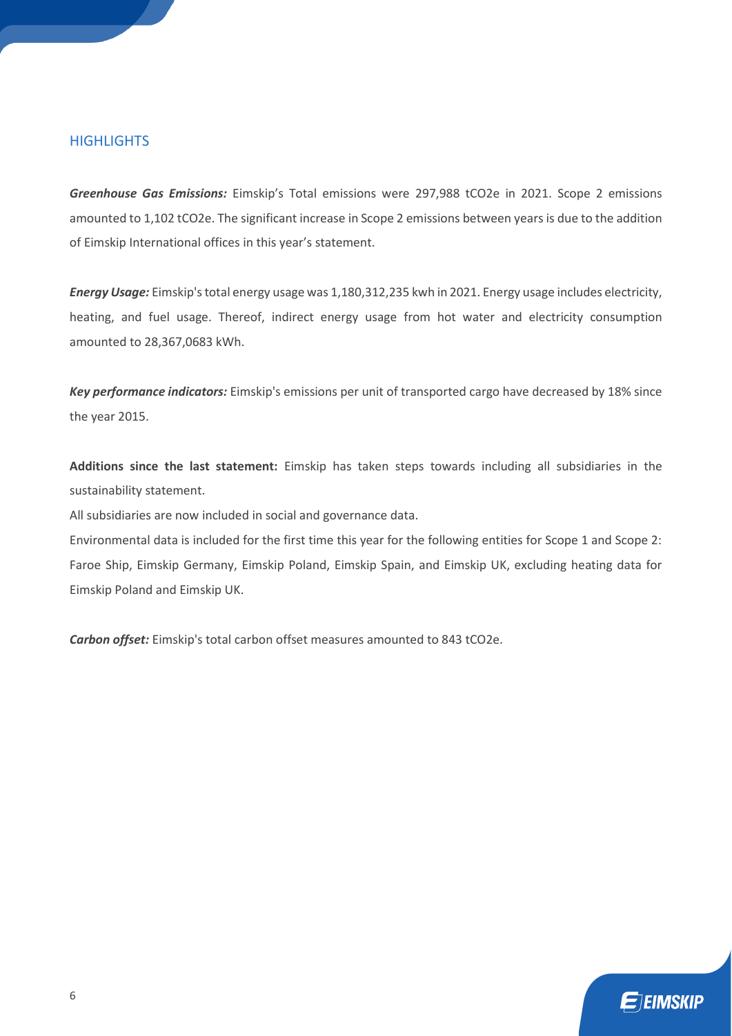# **HIGHLIGHTS**

*Greenhouse Gas Emissions:* Eimskip's Total emissions were 297,988 tCO2e in 2021. Scope 2 emissions amounted to 1,102 tCO2e. The significant increase in Scope 2 emissions between years is due to the addition of Eimskip International offices in this year's statement.

*Energy Usage:* Eimskip's total energy usage was 1,180,312,235 kwh in 2021. Energy usage includes electricity, heating, and fuel usage. Thereof, indirect energy usage from hot water and electricity consumption amounted to 28,367,0683 kWh.

*Key performance indicators:* Eimskip's emissions per unit of transported cargo have decreased by 18% since the year 2015.

**Additions since the last statement:** Eimskip has taken steps towards including all subsidiaries in the sustainability statement.

All subsidiaries are now included in social and governance data.

Environmental data is included for the first time this year for the following entities for Scope 1 and Scope 2: Faroe Ship, Eimskip Germany, Eimskip Poland, Eimskip Spain, and Eimskip UK, excluding heating data for Eimskip Poland and Eimskip UK.

*Carbon offset:* Eimskip's total carbon offset measures amounted to 843 tCO2e.

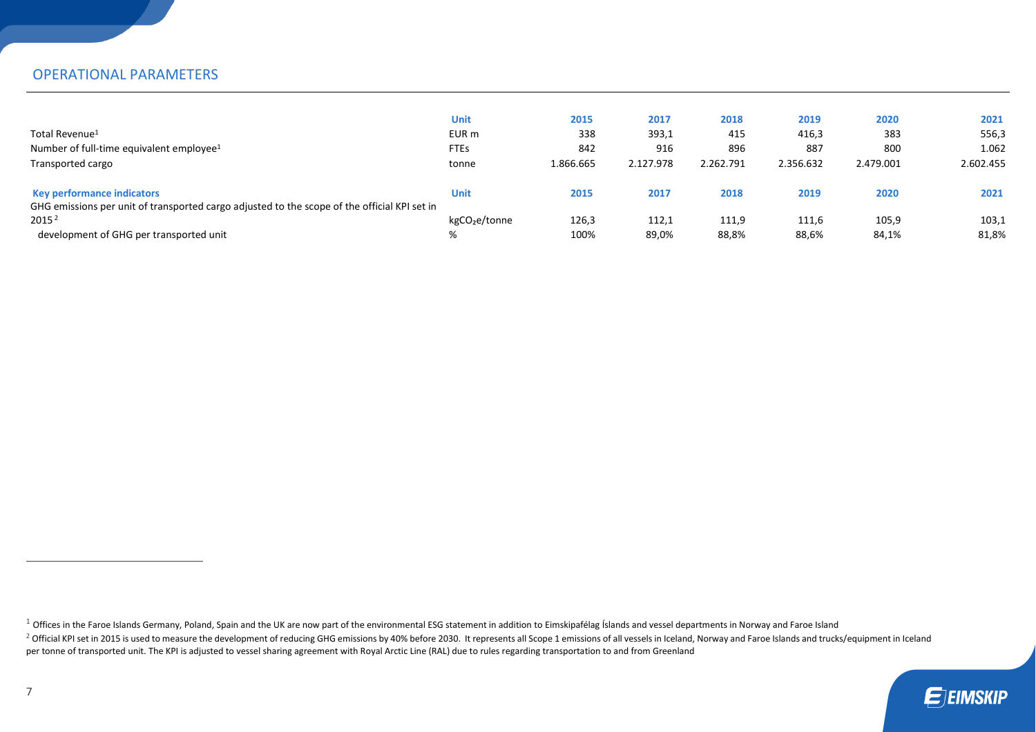# OPERATIONAL PARAMETERS

|                                                                                              | Unit                      | 2015      | 2017      | 2018      | 2019      | 2020      | 2021      |
|----------------------------------------------------------------------------------------------|---------------------------|-----------|-----------|-----------|-----------|-----------|-----------|
| Total Revenue <sup>1</sup>                                                                   | EUR m                     | 338       | 393,1     | 415       | 416,3     | 383       | 556,3     |
| Number of full-time equivalent employee <sup>1</sup>                                         | <b>FTEs</b>               | 842       | 916       | 896       | 887       | 800       | 1.062     |
| Transported cargo                                                                            | tonne                     | 1.866.665 | 2.127.978 | 2.262.791 | 2.356.632 | 2.479.001 | 2.602.455 |
|                                                                                              |                           |           |           |           |           |           |           |
| <b>Key performance indicators</b>                                                            | Unit                      | 2015      | 2017      | 2018      | 2019      | 2020      | 2021      |
| GHG emissions per unit of transported cargo adjusted to the scope of the official KPI set in |                           |           |           |           |           |           |           |
| 2015 <sup>2</sup>                                                                            | kgCO <sub>2</sub> e/tonne | 126,3     | 112,1     | 111,9     | 111,6     | 105,9     | 103,1     |
| development of GHG per transported unit                                                      | %                         | 100%      | 89,0%     | 88,8%     | 88,6%     | 84,1%     | 81,8%     |

 $1$  Offices in the Faroe Islands Germany, Poland, Spain and the UK are now part of the environmental ESG statement in addition to Eimskipafélag Íslands and vessel departments in Norway and Faroe Island

<sup>&</sup>lt;sup>2</sup> Official KPI set in 2015 is used to measure the development of reducing GHG emissions by 40% before 2030. It represents all Scope 1 emissions of all vessels in Iceland, Norway and Faroe Islands and trucks/equipment in per tonne of transported unit. The KPI is adjusted to vessel sharing agreement with Royal Arctic Line (RAL) due to rules regarding transportation to and from Greenland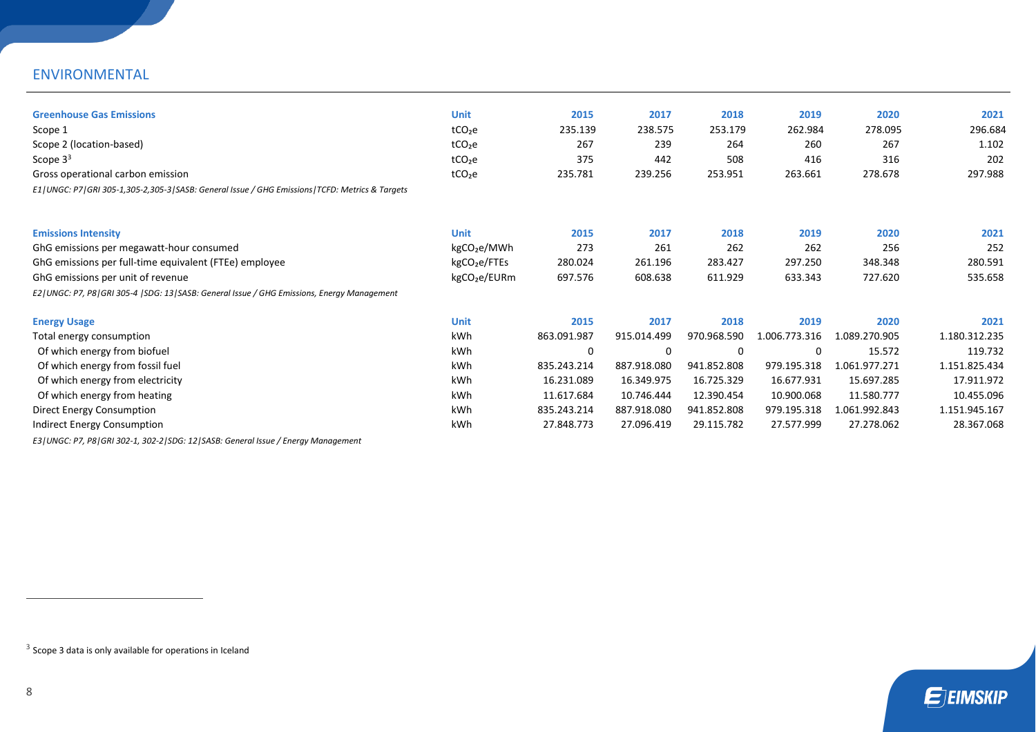# ENVIRONMENTAL

| <b>Greenhouse Gas Emissions</b>                                                                       | <b>Unit</b>              | 2015        | 2017        | 2018        | 2019          | 2020          | 2021          |
|-------------------------------------------------------------------------------------------------------|--------------------------|-------------|-------------|-------------|---------------|---------------|---------------|
| Scope 1                                                                                               | tCO <sub>2</sub> e       | 235.139     | 238.575     | 253.179     | 262.984       | 278.095       | 296.684       |
| Scope 2 (location-based)                                                                              | tCO <sub>2</sub> e       | 267         | 239         | 264         | 260           | 267           | 1.102         |
| Scope $33$                                                                                            | tCO <sub>2</sub> e       | 375         | 442         | 508         | 416           | 316           | 202           |
| Gross operational carbon emission                                                                     | tCO <sub>2</sub> e       | 235.781     | 239.256     | 253.951     | 263.661       | 278.678       | 297.988       |
| E1   UNGC: P7   GRI 305-1,305-2,305-3   SASB: General Issue / GHG Emissions   TCFD: Metrics & Targets |                          |             |             |             |               |               |               |
| <b>Emissions Intensity</b>                                                                            | <b>Unit</b>              | 2015        | 2017        | 2018        | 2019          | 2020          | 2021          |
| GhG emissions per megawatt-hour consumed                                                              | kgCO <sub>2</sub> e/MWh  | 273         | 261         | 262         | 262           | 256           | 252           |
| GhG emissions per full-time equivalent (FTEe) employee                                                | kgCO <sub>2</sub> e/FTEs | 280.024     | 261.196     | 283.427     | 297.250       | 348.348       | 280.591       |
| GhG emissions per unit of revenue                                                                     | kgCO <sub>2</sub> e/EURm | 697.576     | 608.638     | 611.929     | 633.343       | 727.620       | 535.658       |
| E2   UNGC: P7, P8   GRI 305-4   SDG: 13   SASB: General Issue / GHG Emissions, Energy Management      |                          |             |             |             |               |               |               |
| <b>Energy Usage</b>                                                                                   | <b>Unit</b>              | 2015        | 2017        | 2018        | 2019          | 2020          | 2021          |
| Total energy consumption                                                                              | kWh                      | 863.091.987 | 915.014.499 | 970.968.590 | 1.006.773.316 | 1.089.270.905 | 1.180.312.235 |
| Of which energy from biofuel                                                                          | kWh                      | $\Omega$    | 0           | 0           | 0             | 15.572        | 119.732       |
| Of which energy from fossil fuel                                                                      | kWh                      | 835.243.214 | 887.918.080 | 941.852.808 | 979.195.318   | 1.061.977.271 | 1.151.825.434 |
| Of which energy from electricity                                                                      | kWh                      | 16.231.089  | 16.349.975  | 16.725.329  | 16.677.931    | 15.697.285    | 17.911.972    |
| Of which energy from heating                                                                          | kWh                      | 11.617.684  | 10.746.444  | 12.390.454  | 10.900.068    | 11.580.777    | 10.455.096    |
| Direct Energy Consumption                                                                             | kWh                      | 835.243.214 | 887.918.080 | 941.852.808 | 979.195.318   | 1.061.992.843 | 1.151.945.167 |
| Indirect Energy Consumption                                                                           | kWh                      | 27.848.773  | 27.096.419  | 29.115.782  | 27.577.999    | 27.278.062    | 28.367.068    |
|                                                                                                       |                          |             |             |             |               |               |               |

*E3|UNGC: P7, P8|GRI 302-1, 302-2|SDG: 12|SASB: General Issue / Energy Management*

 $3$  Scope 3 data is only available for operations in Iceland

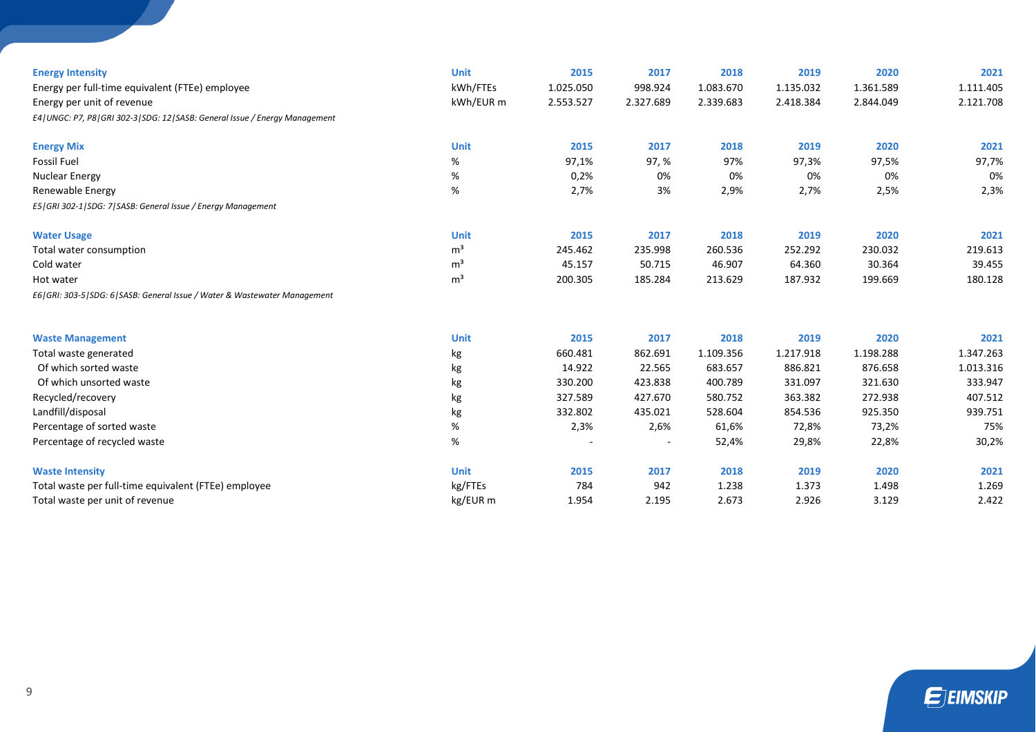| <b>Energy Intensity</b>                                                           | <b>Unit</b>    | 2015      | 2017      | 2018      | 2019      | 2020      | 2021      |
|-----------------------------------------------------------------------------------|----------------|-----------|-----------|-----------|-----------|-----------|-----------|
| Energy per full-time equivalent (FTEe) employee                                   | kWh/FTEs       | 1.025.050 | 998.924   | 1.083.670 | 1.135.032 | 1.361.589 | 1.111.405 |
| Energy per unit of revenue                                                        | kWh/EUR m      | 2.553.527 | 2.327.689 | 2.339.683 | 2.418.384 | 2.844.049 | 2.121.708 |
| E4   UNGC: P7, P8   GRI 302-3   SDG: 12   SASB: General Issue / Energy Management |                |           |           |           |           |           |           |
| <b>Energy Mix</b>                                                                 | <b>Unit</b>    | 2015      | 2017      | 2018      | 2019      | 2020      | 2021      |
| <b>Fossil Fuel</b>                                                                | %              | 97,1%     | 97, %     | 97%       | 97,3%     | 97,5%     | 97,7%     |
| <b>Nuclear Energy</b>                                                             | %              | 0,2%      | 0%        | 0%        | 0%        | 0%        | 0%        |
| Renewable Energy                                                                  | %              | 2,7%      | 3%        | 2,9%      | 2,7%      | 2,5%      | 2,3%      |
| E5   GRI 302-1   SDG: 7   SASB: General Issue / Energy Management                 |                |           |           |           |           |           |           |
| <b>Water Usage</b>                                                                | <b>Unit</b>    | 2015      | 2017      | 2018      | 2019      | 2020      | 2021      |
| Total water consumption                                                           | m <sup>3</sup> | 245.462   | 235.998   | 260.536   | 252.292   | 230.032   | 219.613   |
| Cold water                                                                        | m <sup>3</sup> | 45.157    | 50.715    | 46.907    | 64.360    | 30.364    | 39.455    |
| Hot water                                                                         | m <sup>3</sup> | 200.305   | 185.284   | 213.629   | 187.932   | 199.669   | 180.128   |
| E6   GRI: 303-5   SDG: 6   SASB: General Issue / Water & Wastewater Management    |                |           |           |           |           |           |           |
| <b>Waste Management</b>                                                           | <b>Unit</b>    | 2015      | 2017      | 2018      | 2019      | 2020      | 2021      |
| Total waste generated                                                             | kg             | 660.481   | 862.691   | 1.109.356 | 1.217.918 | 1.198.288 | 1.347.263 |
| Of which sorted waste                                                             | kg             | 14.922    | 22.565    | 683.657   | 886.821   | 876.658   | 1.013.316 |
| Of which unsorted waste                                                           | kg             | 330.200   | 423.838   | 400.789   | 331.097   | 321.630   | 333.947   |
| Recycled/recovery                                                                 | kg             | 327.589   | 427.670   | 580.752   | 363.382   | 272.938   | 407.512   |
| Landfill/disposal                                                                 | kg             | 332.802   | 435.021   | 528.604   | 854.536   | 925.350   | 939.751   |
| Percentage of sorted waste                                                        | %              | 2,3%      | 2,6%      | 61,6%     | 72,8%     | 73,2%     | 75%       |
| Percentage of recycled waste                                                      | $\%$           |           |           | 52,4%     | 29,8%     | 22,8%     | 30,2%     |
| <b>Waste Intensity</b>                                                            | <b>Unit</b>    | 2015      | 2017      | 2018      | 2019      | 2020      | 2021      |
| Total waste per full-time equivalent (FTEe) employee                              | kg/FTEs        | 784       | 942       | 1.238     | 1.373     | 1.498     | 1.269     |
| Total waste per unit of revenue                                                   | kg/EUR m       | 1.954     | 2.195     | 2.673     | 2.926     | 3.129     | 2.422     |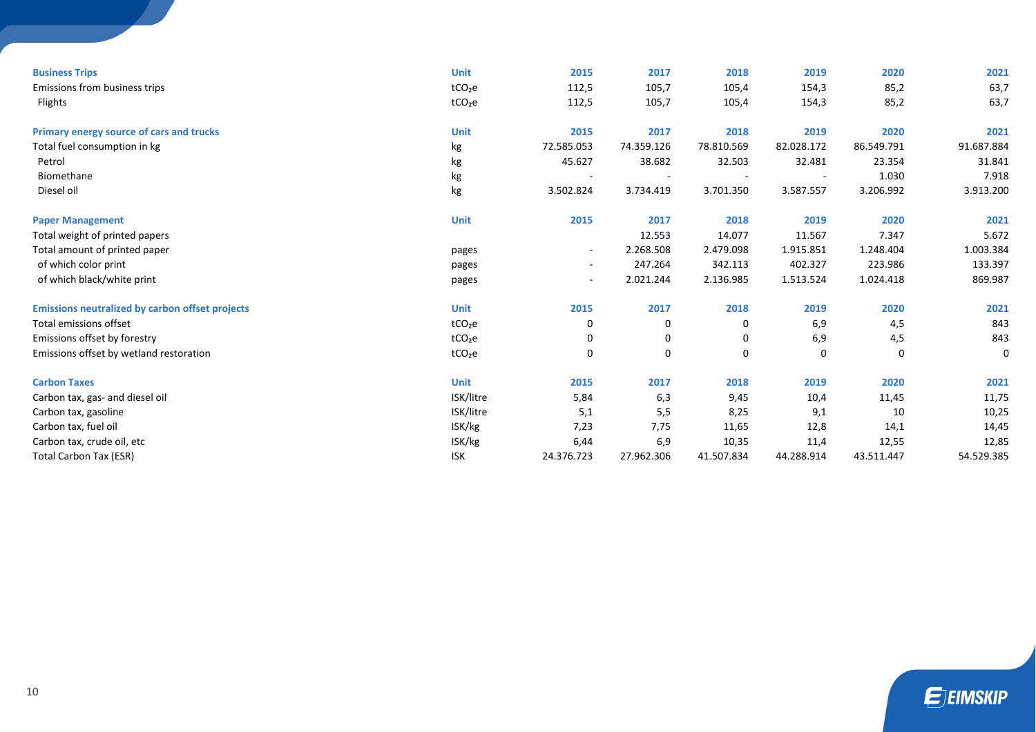| <b>Business Trips</b>                                  | <b>Unit</b>        | 2015                     | 2017       | 2018        | 2019       | 2020       | 2021       |
|--------------------------------------------------------|--------------------|--------------------------|------------|-------------|------------|------------|------------|
| Emissions from business trips                          | tCO <sub>2</sub> e | 112,5                    | 105,7      | 105,4       | 154,3      | 85,2       | 63,7       |
| Flights                                                | tCO <sub>2</sub> e | 112,5                    | 105,7      | 105,4       | 154,3      | 85,2       | 63,7       |
|                                                        | <b>Unit</b>        |                          |            |             |            | 2020       | 2021       |
| Primary energy source of cars and trucks               |                    | 2015                     | 2017       | 2018        | 2019       |            |            |
| Total fuel consumption in kg                           | kg                 | 72.585.053               | 74.359.126 | 78.810.569  | 82.028.172 | 86.549.791 | 91.687.884 |
| Petrol                                                 | kg                 | 45.627                   | 38.682     | 32.503      | 32.481     | 23.354     | 31.841     |
| Biomethane                                             | kg                 |                          |            |             |            | 1.030      | 7.918      |
| Diesel oil                                             | kg                 | 3.502.824                | 3.734.419  | 3.701.350   | 3.587.557  | 3.206.992  | 3.913.200  |
| <b>Paper Management</b>                                | <b>Unit</b>        | 2015                     | 2017       | 2018        | 2019       | 2020       | 2021       |
| Total weight of printed papers                         |                    |                          | 12.553     | 14.077      | 11.567     | 7.347      | 5.672      |
| Total amount of printed paper                          | pages              | $\overline{\phantom{a}}$ | 2.268.508  | 2.479.098   | 1.915.851  | 1.248.404  | 1.003.384  |
| of which color print                                   | pages              | $\overline{\phantom{a}}$ | 247.264    | 342.113     | 402.327    | 223.986    | 133.397    |
| of which black/white print                             | pages              | $\sim$                   | 2.021.244  | 2.136.985   | 1.513.524  | 1.024.418  | 869.987    |
| <b>Emissions neutralized by carbon offset projects</b> | <b>Unit</b>        | 2015                     | 2017       | 2018        | 2019       | 2020       | 2021       |
| Total emissions offset                                 | tCO <sub>2</sub> e | 0                        | 0          | 0           | 6,9        | 4,5        | 843        |
| Emissions offset by forestry                           | tCO <sub>2</sub> e | 0                        | 0          | 0           | 6,9        | 4,5        | 843        |
| Emissions offset by wetland restoration                | tCO <sub>2</sub> e | 0                        | 0          | $\mathbf 0$ | 0          | 0          | 0          |
| <b>Carbon Taxes</b>                                    | <b>Unit</b>        | 2015                     | 2017       | 2018        | 2019       | 2020       | 2021       |
| Carbon tax, gas- and diesel oil                        | ISK/litre          | 5,84                     | 6,3        | 9,45        | 10,4       | 11,45      | 11,75      |
| Carbon tax, gasoline                                   | ISK/litre          | 5,1                      | 5,5        | 8,25        | 9,1        | 10         | 10,25      |
| Carbon tax, fuel oil                                   | ISK/kg             | 7,23                     | 7,75       | 11,65       | 12,8       | 14,1       | 14,45      |
| Carbon tax, crude oil, etc                             | ISK/kg             | 6,44                     | 6,9        | 10,35       | 11,4       | 12,55      | 12,85      |
| <b>Total Carbon Tax (ESR)</b>                          | <b>ISK</b>         | 24.376.723               | 27.962.306 | 41.507.834  | 44.288.914 | 43.511.447 | 54.529.385 |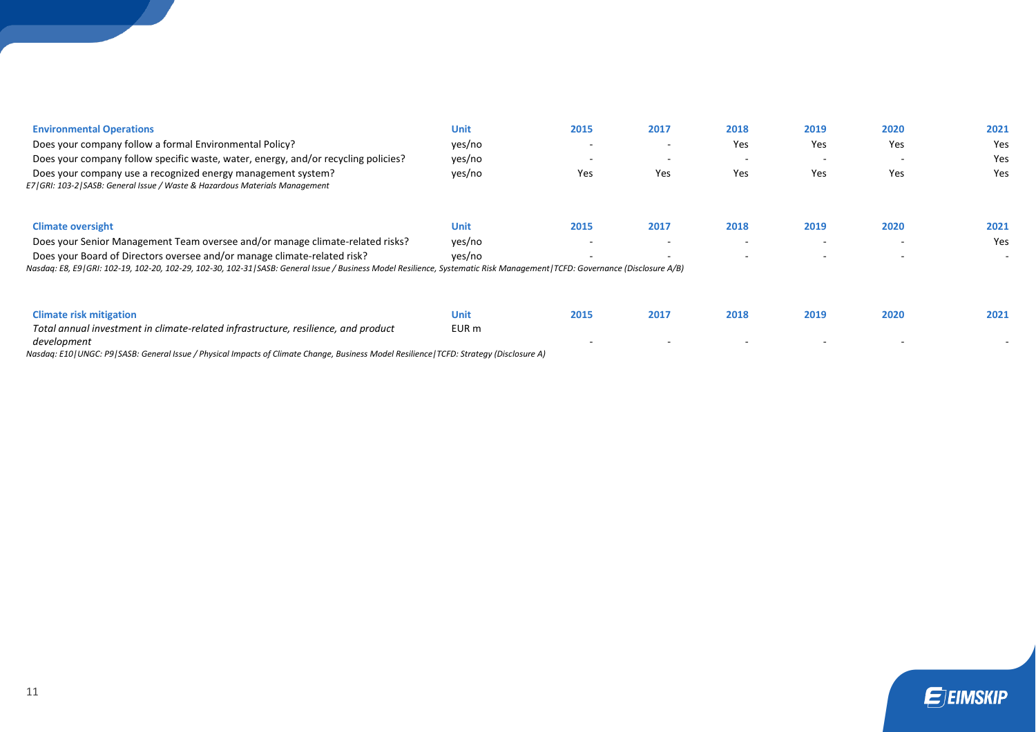# **Environmental Operations Unit 2015 2017 2018 2019 2020 2021** Does your company follow a formal Environmental Policy? yes/no - - Yes Yes Yes Yes Does your company follow specific waste, water, energy, and/or recycling policies? yes/no - - - - - Yes Does your company use a recognized energy management system? yes/no Yes Yes Yes Yes Yes Yes *E7|GRI: 103-2|SASB: General Issue / Waste & Hazardous Materials Management* **Climate oversight Unit 2015 2017 2018 2019 2020 2021** Does your Senior Management Team oversee and/or manage climate-related risks? yes/no example and the state of the state of the state of the state of the state of the state of the Yes Does your Board of Directors oversee and/or manage climate-related risk? ves/no - - - - - - - - - - - - - - -*Nasdaq: E8, E9|GRI: 102-19, 102-20, 102-29, 102-30, 102-31|SASB: General Issue / Business Model Resilience, Systematic Risk Management|TCFD: Governance (Disclosure A/B)* **Climate risk mitigation Unit 2015 2017 2018 2019 2020 2021** *Total annual investment in climate-related infrastructure, resilience, and product*  EUR m

*Nasdaq: E10|UNGC: P9|SASB: General Issue / Physical Impacts of Climate Change, Business Model Resilience|TCFD: Strategy (Disclosure A)*



- - - - - -

*development*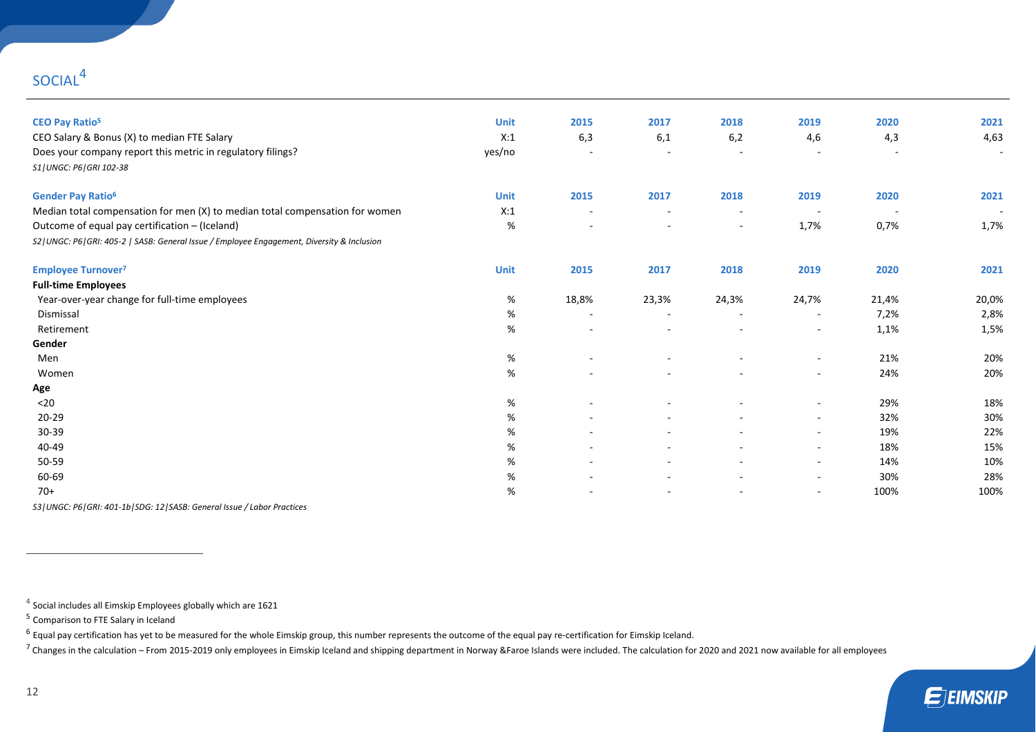# SOCIAL<sup>4</sup>

| <b>CEO Pay Ratio<sup>5</sup></b>                                                              | <b>Unit</b> | 2015                     | 2017                     | 2018                     | 2019                     | 2020   | 2021                     |
|-----------------------------------------------------------------------------------------------|-------------|--------------------------|--------------------------|--------------------------|--------------------------|--------|--------------------------|
| CEO Salary & Bonus (X) to median FTE Salary                                                   | X:1         | 6,3                      | 6,1                      | 6,2                      | 4,6                      | 4,3    | 4,63                     |
| Does your company report this metric in regulatory filings?                                   | yes/no      | $\sim$                   | $\sim$                   | $\blacksquare$           | $\overline{\phantom{a}}$ |        | $\sim$                   |
| S1   UNGC: P6   GRI 102-38                                                                    |             |                          |                          |                          |                          |        |                          |
| <b>Gender Pay Ratio<sup>6</sup></b>                                                           | <b>Unit</b> | 2015                     | 2017                     | 2018                     | 2019                     | 2020   | 2021                     |
| Median total compensation for men (X) to median total compensation for women                  | X:1         | $\overline{\phantom{a}}$ | $\overline{\phantom{a}}$ | $\overline{\phantom{a}}$ | $\sim$                   | $\sim$ | $\overline{\phantom{a}}$ |
| Outcome of equal pay certification - (Iceland)                                                | %           |                          | $\blacksquare$           | $\overline{\phantom{a}}$ | 1,7%                     | 0,7%   | 1,7%                     |
| S2   UNGC: P6   GRI: 405-2   SASB: General Issue / Employee Engagement, Diversity & Inclusion |             |                          |                          |                          |                          |        |                          |
| <b>Employee Turnover<sup>7</sup></b>                                                          | <b>Unit</b> | 2015                     | 2017                     | 2018                     | 2019                     | 2020   | 2021                     |
| <b>Full-time Employees</b>                                                                    |             |                          |                          |                          |                          |        |                          |
| Year-over-year change for full-time employees                                                 | %           | 18,8%                    | 23,3%                    | 24,3%                    | 24,7%                    | 21,4%  | 20,0%                    |
| Dismissal                                                                                     | %           | $\overline{\phantom{a}}$ | $\overline{\phantom{a}}$ | $\sim$                   | $\sim$                   | 7,2%   | 2,8%                     |
| Retirement                                                                                    | %           | $\overline{\phantom{a}}$ | $\overline{\phantom{a}}$ | $\overline{\phantom{a}}$ | $\overline{\phantom{a}}$ | 1,1%   | 1,5%                     |
| Gender                                                                                        |             |                          |                          |                          |                          |        |                          |
| Men                                                                                           | %           |                          |                          | ۰                        | $\sim$                   | 21%    | 20%                      |
| Women                                                                                         | %           |                          | $\sim$                   | $\sim$                   | $\sim$                   | 24%    | 20%                      |
| Age                                                                                           |             |                          |                          |                          |                          |        |                          |
| $20$                                                                                          | %           | $\overline{\phantom{a}}$ | $\blacksquare$           | $\sim$                   | $\overline{\phantom{a}}$ | 29%    | 18%                      |
| 20-29                                                                                         | %           |                          |                          |                          | $\sim$                   | 32%    | 30%                      |
| 30-39                                                                                         | %           |                          |                          |                          | $\overline{\phantom{a}}$ | 19%    | 22%                      |
| 40-49                                                                                         | %           | ٠                        | $\blacksquare$           | $\sim$                   | $\sim$                   | 18%    | 15%                      |
| 50-59                                                                                         | %           | $\overline{\phantom{a}}$ | $\blacksquare$           | $\sim$                   | $\sim$                   | 14%    | 10%                      |
| 60-69                                                                                         | %           |                          |                          |                          | $\sim$                   | 30%    | 28%                      |
| $70+$                                                                                         | %           |                          |                          |                          | $\sim$                   | 100%   | 100%                     |

*S3|UNGC: P6|GRI: 401-1b|SDG: 12|SASB: General Issue / Labor Practices*

 $<sup>4</sup>$  Social includes all Eimskip Employees globally which are 1621</sup>

 $^6$  Equal pay certification has yet to be measured for the whole Eimskip group, this number represents the outcome of the equal pay re-certification for Eimskip Iceland.

<sup>7</sup> Changes in the calculation – From 2015-2019 only employees in Eimskip Iceland and shipping department in Norway &Faroe Islands were included. The calculation for 2020 and 2021 now available for all employees

<sup>&</sup>lt;sup>5</sup> Comparison to FTE Salary in Iceland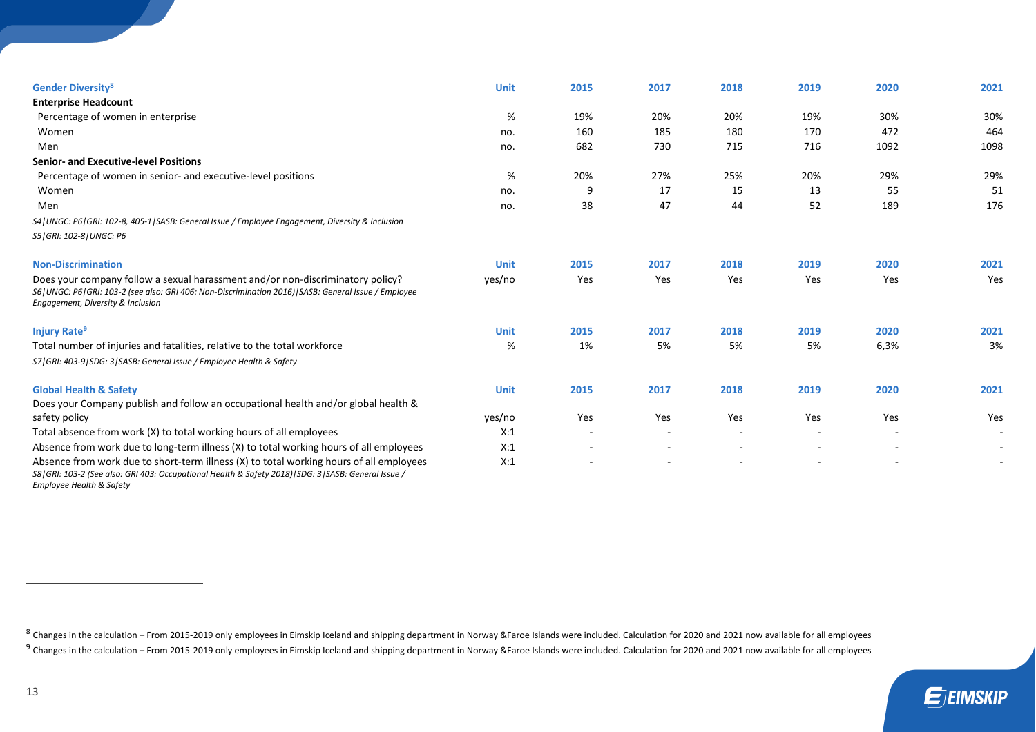| <b>Gender Diversity<sup>8</sup></b>                                                                                                                                                                                                       | Unit        | 2015 | 2017                     | 2018   | 2019                     | 2020 | 2021   |
|-------------------------------------------------------------------------------------------------------------------------------------------------------------------------------------------------------------------------------------------|-------------|------|--------------------------|--------|--------------------------|------|--------|
| <b>Enterprise Headcount</b>                                                                                                                                                                                                               |             |      |                          |        |                          |      |        |
| Percentage of women in enterprise                                                                                                                                                                                                         | %           | 19%  | 20%                      | 20%    | 19%                      | 30%  | 30%    |
| Women                                                                                                                                                                                                                                     | no.         | 160  | 185                      | 180    | 170                      | 472  | 464    |
| Men                                                                                                                                                                                                                                       | no.         | 682  | 730                      | 715    | 716                      | 1092 | 1098   |
| <b>Senior- and Executive-level Positions</b>                                                                                                                                                                                              |             |      |                          |        |                          |      |        |
| Percentage of women in senior- and executive-level positions                                                                                                                                                                              | %           | 20%  | 27%                      | 25%    | 20%                      | 29%  | 29%    |
| Women                                                                                                                                                                                                                                     | no.         | 9    | 17                       | 15     | 13                       | 55   | 51     |
| Men                                                                                                                                                                                                                                       | no.         | 38   | 47                       | 44     | 52                       | 189  | 176    |
| S4   UNGC: P6   GRI: 102-8, 405-1   SASB: General Issue / Employee Engagement, Diversity & Inclusion                                                                                                                                      |             |      |                          |        |                          |      |        |
| S5   GRI: 102-8   UNGC: P6                                                                                                                                                                                                                |             |      |                          |        |                          |      |        |
| <b>Non-Discrimination</b>                                                                                                                                                                                                                 | <b>Unit</b> | 2015 | 2017                     | 2018   | 2019                     | 2020 | 2021   |
| Does your company follow a sexual harassment and/or non-discriminatory policy?<br>S6   UNGC: P6   GRI: 103-2 (see also: GRI 406: Non-Discrimination 2016)   SASB: General Issue / Employee<br>Engagement, Diversity & Inclusion           | yes/no      | Yes  | Yes                      | Yes    | Yes                      | Yes  | Yes    |
| <b>Injury Rate<sup>9</sup></b>                                                                                                                                                                                                            | <b>Unit</b> | 2015 | 2017                     | 2018   | 2019                     | 2020 | 2021   |
| Total number of injuries and fatalities, relative to the total workforce                                                                                                                                                                  | %           | 1%   | 5%                       | 5%     | 5%                       | 6,3% | 3%     |
| S7   GRI: 403-9   SDG: 3   SASB: General Issue / Employee Health & Safety                                                                                                                                                                 |             |      |                          |        |                          |      |        |
| <b>Global Health &amp; Safety</b>                                                                                                                                                                                                         | <b>Unit</b> | 2015 | 2017                     | 2018   | 2019                     | 2020 | 2021   |
| Does your Company publish and follow an occupational health and/or global health &                                                                                                                                                        |             |      |                          |        |                          |      |        |
| safety policy                                                                                                                                                                                                                             | yes/no      | Yes  | Yes                      | Yes    | Yes                      | Yes  | Yes    |
| Total absence from work (X) to total working hours of all employees                                                                                                                                                                       | X:1         |      | $\overline{\phantom{a}}$ | $\sim$ | $\sim$                   |      | $\sim$ |
| Absence from work due to long-term illness (X) to total working hours of all employees                                                                                                                                                    | X:1         |      | ٠                        | $\sim$ | $\overline{\phantom{a}}$ |      |        |
| Absence from work due to short-term illness (X) to total working hours of all employees<br>S8   GRI: 103-2 (See also: GRI 403: Occupational Health & Safety 2018)   SDG: 3   SASB: General Issue /<br><b>Employee Health &amp; Safety</b> | X:1         |      |                          |        |                          |      |        |

 $^8$  Changes in the calculation – From 2015-2019 only employees in Eimskip Iceland and shipping department in Norway &Faroe Islands were included. Calculation for 2020 and 2021 now available for all employees  $^9$  Changes in the calculation – From 2015-2019 only employees in Eimskip Iceland and shipping department in Norway &Faroe Islands were included. Calculation for 2020 and 2021 now available for all employees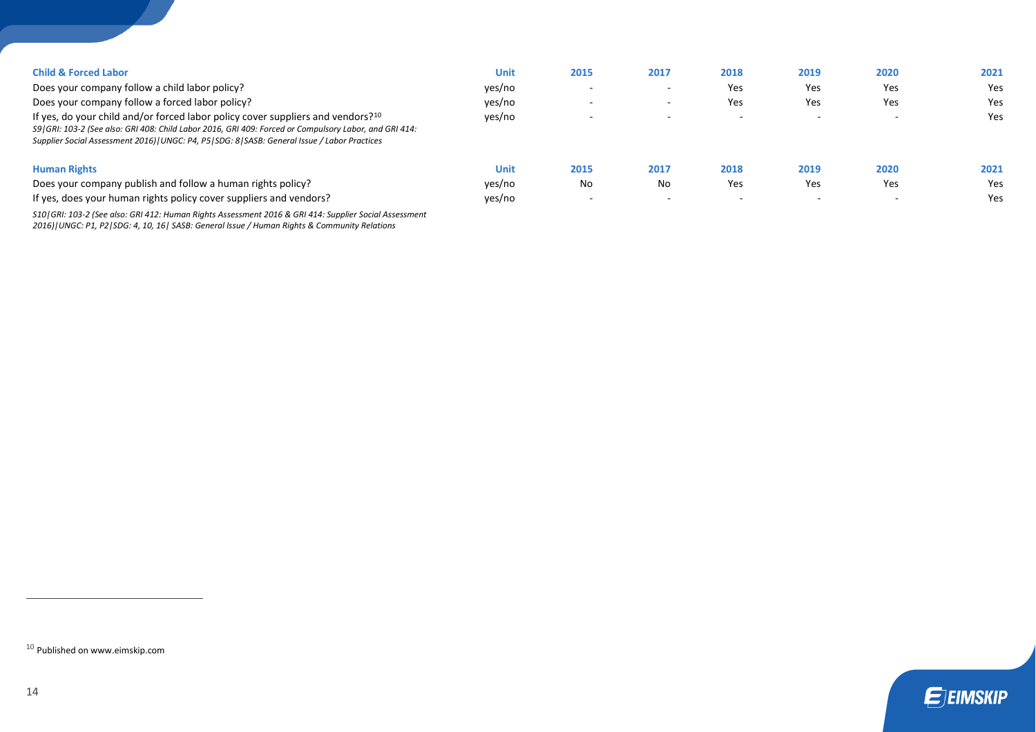| <b>Child &amp; Forced Labor</b><br>Does your company follow a child labor policy?<br>Does your company follow a forced labor policy?<br>If yes, do your child and/or forced labor policy cover suppliers and vendors? <sup>10</sup><br>S9 (GRI: 103-2 (See also: GRI 408: Child Labor 2016, GRI 409: Forced or Compulsory Labor, and GRI 414:<br>Supplier Social Assessment 2016)   UNGC: P4, P5   SDG: 8   SASB: General Issue / Labor Practices | <b>Unit</b><br>yes/no<br>yes/no<br>yes/no | 2015                                   | 2017       | 2018<br>Yes<br>Yes<br>$\sim$ | 2019<br>Yes<br>Yes<br>$\sim$ | 2020<br>Yes<br>Yes<br>$\overline{\phantom{a}}$ | 2021<br>Yes<br>Yes<br>Yes |
|---------------------------------------------------------------------------------------------------------------------------------------------------------------------------------------------------------------------------------------------------------------------------------------------------------------------------------------------------------------------------------------------------------------------------------------------------|-------------------------------------------|----------------------------------------|------------|------------------------------|------------------------------|------------------------------------------------|---------------------------|
| <b>Human Rights</b><br>Does your company publish and follow a human rights policy?<br>If yes, does your human rights policy cover suppliers and vendors?                                                                                                                                                                                                                                                                                          | <b>Unit</b><br>yes/no<br>yes/no           | 2015<br>No<br>$\overline{\phantom{0}}$ | 2017<br>No | 2018<br>Yes<br>. .           | 2019<br>Yes                  | 2020<br>Yes<br>$\overline{\phantom{a}}$        | 2021<br>Yes<br>Yes        |

*S10|GRI: 103-2 (See also: GRI 412: Human Rights Assessment 2016 & GRI 414: Supplier Social Assessment 2016)|UNGC: P1, P2|SDG: 4, 10, 16| SASB: General Issue / Human Rights & Community Relations*

 $10$  Published on www.eimskip.com

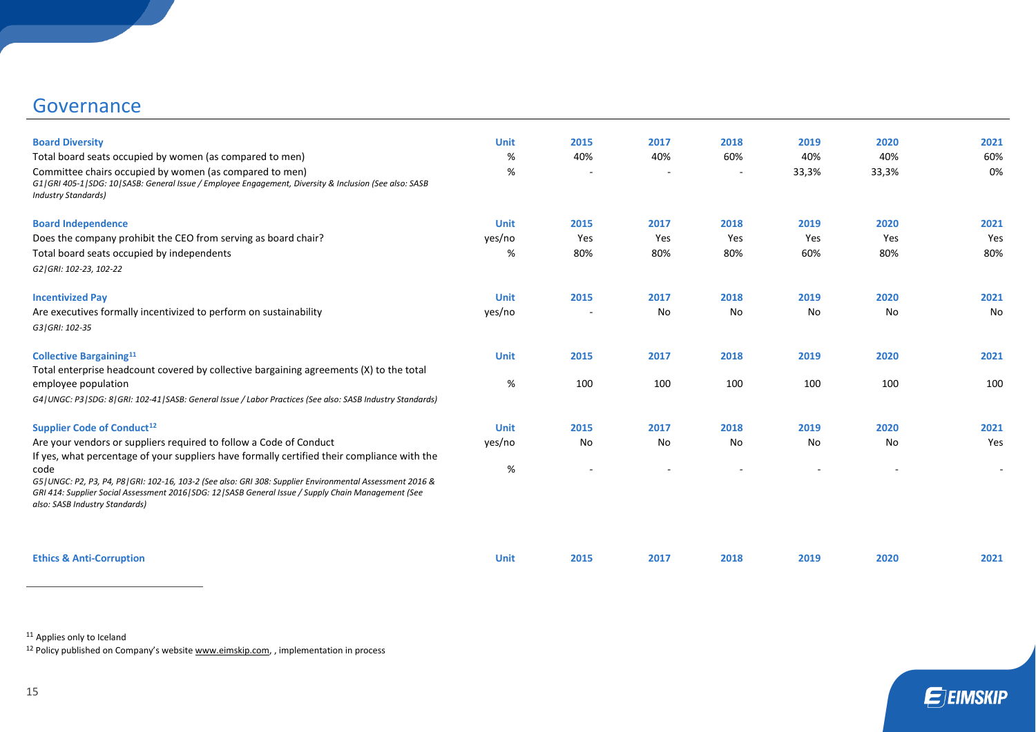# **Governance**

| <b>Board Diversity</b>                                                                                                                                                                                                                                          | <b>Unit</b> | 2015                     | 2017 | 2018   | 2019  | 2020  | 2021 |
|-----------------------------------------------------------------------------------------------------------------------------------------------------------------------------------------------------------------------------------------------------------------|-------------|--------------------------|------|--------|-------|-------|------|
| Total board seats occupied by women (as compared to men)                                                                                                                                                                                                        | %           | 40%                      | 40%  | 60%    | 40%   | 40%   | 60%  |
| Committee chairs occupied by women (as compared to men)<br>G1   GRI 405-1   SDG: 10   SASB: General Issue / Employee Engagement, Diversity & Inclusion (See also: SASB<br><b>Industry Standards)</b>                                                            | %           | $\overline{\phantom{a}}$ |      | $\sim$ | 33,3% | 33,3% | 0%   |
| <b>Board Independence</b>                                                                                                                                                                                                                                       | <b>Unit</b> | 2015                     | 2017 | 2018   | 2019  | 2020  | 2021 |
| Does the company prohibit the CEO from serving as board chair?                                                                                                                                                                                                  | yes/no      | Yes                      | Yes  | Yes    | Yes   | Yes   | Yes  |
| Total board seats occupied by independents                                                                                                                                                                                                                      | %           | 80%                      | 80%  | 80%    | 60%   | 80%   | 80%  |
| G2   GRI: 102-23, 102-22                                                                                                                                                                                                                                        |             |                          |      |        |       |       |      |
| <b>Incentivized Pay</b>                                                                                                                                                                                                                                         | <b>Unit</b> | 2015                     | 2017 | 2018   | 2019  | 2020  | 2021 |
| Are executives formally incentivized to perform on sustainability                                                                                                                                                                                               | yes/no      |                          | No   | No     | No    | No    | No   |
| G3   GRI: 102-35                                                                                                                                                                                                                                                |             |                          |      |        |       |       |      |
| <b>Collective Bargaining</b> 11<br>Total enterprise headcount covered by collective bargaining agreements (X) to the total                                                                                                                                      | <b>Unit</b> | 2015                     | 2017 | 2018   | 2019  | 2020  | 2021 |
| employee population                                                                                                                                                                                                                                             | %           | 100                      | 100  | 100    | 100   | 100   | 100  |
| G4   UNGC: P3   SDG: 8   GRI: 102-41   SASB: General Issue / Labor Practices (See also: SASB Industry Standards)                                                                                                                                                |             |                          |      |        |       |       |      |
| Supplier Code of Conduct <sup>12</sup>                                                                                                                                                                                                                          | <b>Unit</b> | 2015                     | 2017 | 2018   | 2019  | 2020  | 2021 |
| Are your vendors or suppliers required to follow a Code of Conduct                                                                                                                                                                                              | yes/no      | No                       | No   | No     | No    | No    | Yes  |
| If yes, what percentage of your suppliers have formally certified their compliance with the                                                                                                                                                                     |             |                          |      |        |       |       |      |
| code<br>G5   UNGC: P2, P3, P4, P8   GRI: 102-16, 103-2 (See also: GRI 308: Supplier Environmental Assessment 2016 &<br>GRI 414: Supplier Social Assessment 2016   SDG: 12   SASB General Issue / Supply Chain Management (See<br>also: SASB Industry Standards) | %           |                          |      |        |       |       |      |
| <b>Ethics &amp; Anti-Corruption</b>                                                                                                                                                                                                                             | <b>Unit</b> | 2015                     | 2017 | 2018   | 2019  | 2020  | 2021 |

**E**JEIMSKIP

<sup>11</sup> Applies only to Iceland

<sup>12</sup> Policy published on Company's website [www.eimskip.com,](http://www.eimskip.com/) , implementation in process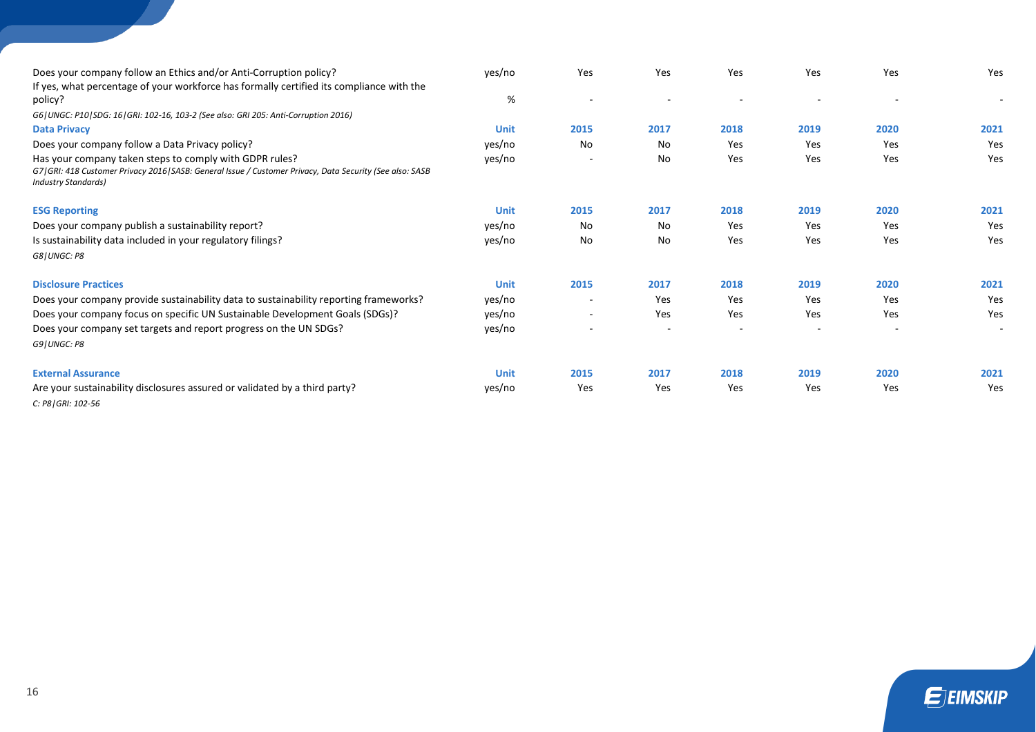| Does your company follow an Ethics and/or Anti-Corruption policy?                                                                                                                                    | yes/no      | Yes                      | Yes  | Yes  | Yes  | Yes        | Yes  |
|------------------------------------------------------------------------------------------------------------------------------------------------------------------------------------------------------|-------------|--------------------------|------|------|------|------------|------|
| If yes, what percentage of your workforce has formally certified its compliance with the<br>policy?                                                                                                  | %           |                          |      |      |      |            |      |
| G6   UNGC: P10   SDG: 16   GRI: 102-16, 103-2 (See also: GRI 205: Anti-Corruption 2016)                                                                                                              |             |                          |      |      |      |            |      |
| <b>Data Privacy</b>                                                                                                                                                                                  | <b>Unit</b> | 2015                     | 2017 | 2018 | 2019 | 2020       | 2021 |
| Does your company follow a Data Privacy policy?                                                                                                                                                      | yes/no      | No                       | No   | Yes  | Yes  | Yes        | Yes  |
| Has your company taken steps to comply with GDPR rules?<br>G7   GRI: 418 Customer Privacy 2016   SASB: General Issue / Customer Privacy, Data Security (See also: SASB<br><b>Industry Standards)</b> | yes/no      |                          | No   | Yes  | Yes  | Yes        | Yes  |
| <b>ESG Reporting</b>                                                                                                                                                                                 | <b>Unit</b> | 2015                     | 2017 | 2018 | 2019 | 2020       | 2021 |
| Does your company publish a sustainability report?                                                                                                                                                   | yes/no      | No                       | No   | Yes  | Yes  | Yes        | Yes  |
| Is sustainability data included in your regulatory filings?<br>G8   UNGC: P8                                                                                                                         | yes/no      | No                       | No   | Yes  | Yes  | <b>Yes</b> | Yes  |
| <b>Disclosure Practices</b>                                                                                                                                                                          | <b>Unit</b> | 2015                     | 2017 | 2018 | 2019 | 2020       | 2021 |
| Does your company provide sustainability data to sustainability reporting frameworks?                                                                                                                | yes/no      |                          | Yes  | Yes  | Yes  | Yes        | Yes  |
| Does your company focus on specific UN Sustainable Development Goals (SDGs)?                                                                                                                         | yes/no      | $\overline{\phantom{a}}$ | Yes  | Yes  | Yes  | Yes        | Yes  |
| Does your company set targets and report progress on the UN SDGs?<br>G9   UNGC: P8                                                                                                                   | yes/no      |                          |      |      |      |            |      |
| <b>External Assurance</b>                                                                                                                                                                            | <b>Unit</b> | 2015                     | 2017 | 2018 | 2019 | 2020       | 2021 |
| Are your sustainability disclosures assured or validated by a third party?<br>C: P8   GRI: 102-56                                                                                                    | yes/no      | Yes                      | Yes  | Yes  | Yes  | Yes        | Yes  |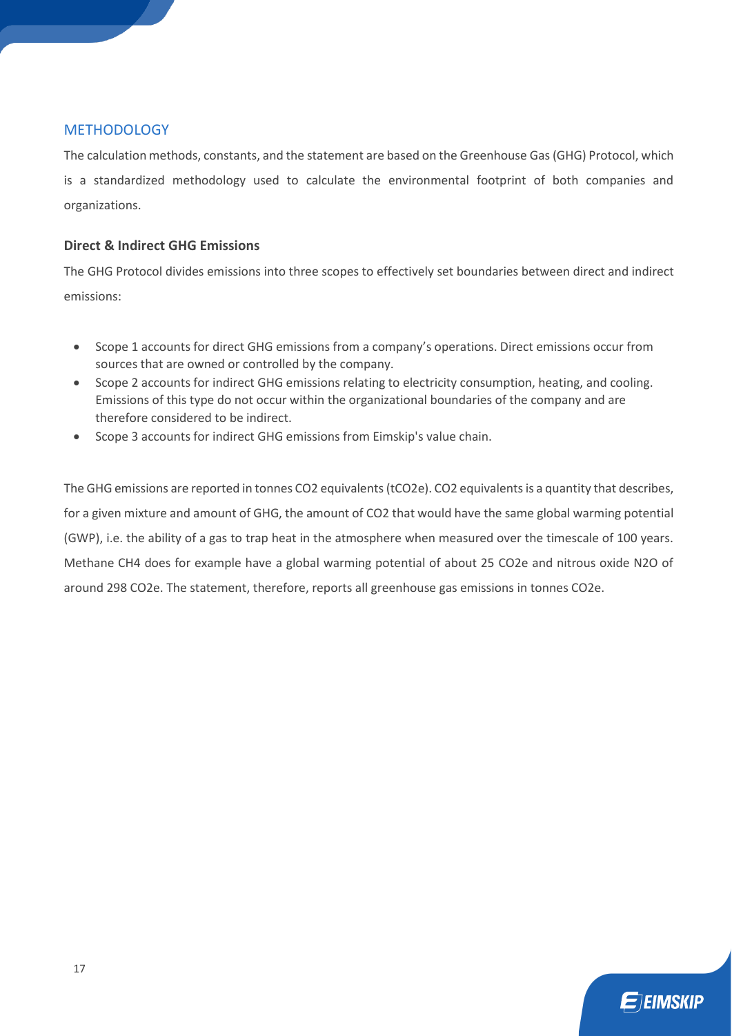# METHODOLOGY

The calculation methods, constants, and the statement are based on the Greenhouse Gas (GHG) Protocol, which is a standardized methodology used to calculate the environmental footprint of both companies and organizations.

# **Direct & Indirect GHG Emissions**

The GHG Protocol divides emissions into three scopes to effectively set boundaries between direct and indirect emissions:

- Scope 1 accounts for direct GHG emissions from a company's operations. Direct emissions occur from sources that are owned or controlled by the company.
- Scope 2 accounts for indirect GHG emissions relating to electricity consumption, heating, and cooling. Emissions of this type do not occur within the organizational boundaries of the company and are therefore considered to be indirect.
- Scope 3 accounts for indirect GHG emissions from Eimskip's value chain.

The GHG emissions are reported in tonnes CO2 equivalents (tCO2e). CO2 equivalents is a quantity that describes, for a given mixture and amount of GHG, the amount of CO2 that would have the same global warming potential (GWP), i.e. the ability of a gas to trap heat in the atmosphere when measured over the timescale of 100 years. Methane CH4 does for example have a global warming potential of about 25 CO2e and nitrous oxide N2O of around 298 CO2e. The statement, therefore, reports all greenhouse gas emissions in tonnes CO2e.